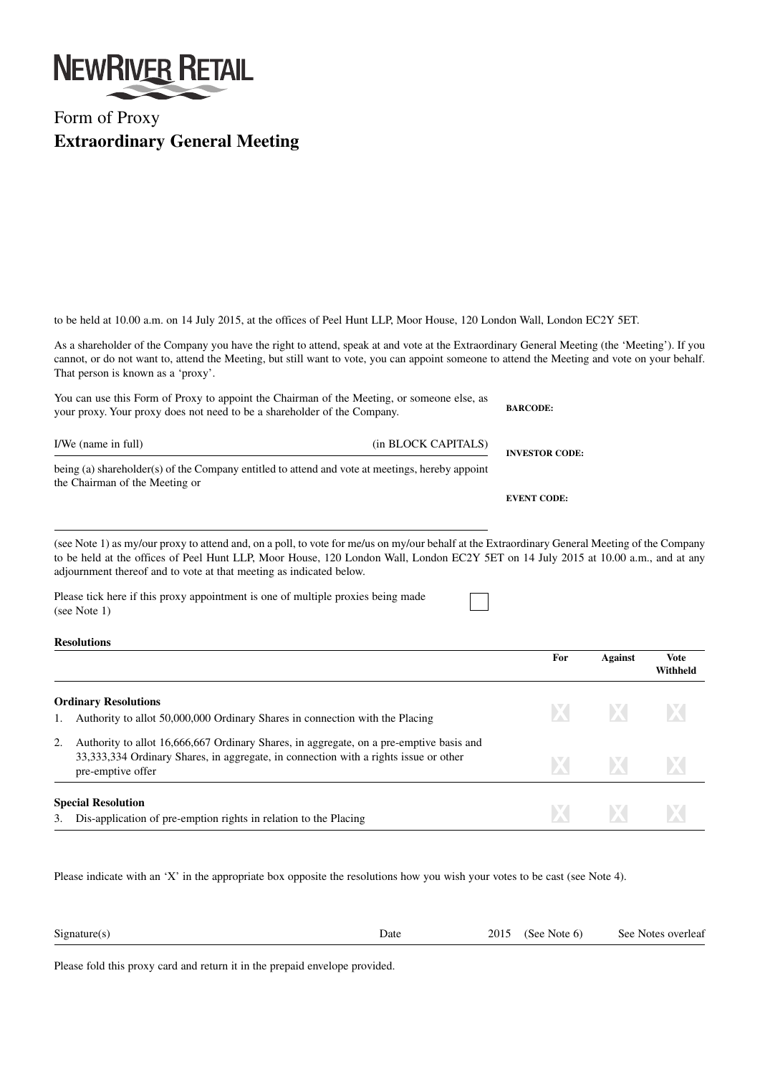

## Form of Proxy **Extraordinary General Meeting**

to be held at 10.00 a.m. on 14 July 2015, at the offices of Peel Hunt LLP, Moor House, 120 London Wall, London EC2Y 5ET.

As a shareholder of the Company you have the right to attend, speak at and vote at the Extraordinary General Meeting (the 'Meeting'). If you cannot, or do not want to, attend the Meeting, but still want to vote, you can appoint someone to attend the Meeting and vote on your behalf. That person is known as a 'proxy'.

| You can use this Form of Proxy to appoint the Chairman of the Meeting, or someone else, as<br>your proxy. Your proxy does not need to be a shareholder of the Company. | <b>BARCODE:</b>     |                       |  |
|------------------------------------------------------------------------------------------------------------------------------------------------------------------------|---------------------|-----------------------|--|
| I/We (name in full)                                                                                                                                                    | (in BLOCK CAPITALS) | <b>INVESTOR CODE:</b> |  |
| being (a) shareholder(s) of the Company entitled to attend and vote at meetings, hereby appoint<br>the Chairman of the Meeting or                                      |                     |                       |  |
|                                                                                                                                                                        |                     | <b>EVENT CODE:</b>    |  |

(see Note 1) as my/our proxy to attend and, on a poll, to vote for me/us on my/our behalf at the Extraordinary General Meeting of the Company to be held at the offices of Peel Hunt LLP, Moor House, 120 London Wall, London EC2Y 5ET on 14 July 2015 at 10.00 a.m., and at any adjournment thereof and to vote at that meeting as indicated below.

Please tick here if this proxy appointment is one of multiple proxies being made (see Note 1)

## **Resolutions**

|    |                                                                                                                                                                                                        | For  | <b>Against</b> | <b>Vote</b><br>Withheld |
|----|--------------------------------------------------------------------------------------------------------------------------------------------------------------------------------------------------------|------|----------------|-------------------------|
|    | <b>Ordinary Resolutions</b><br>Authority to allot 50,000,000 Ordinary Shares in connection with the Placing                                                                                            |      | <b>X X X</b>   |                         |
| 2. | Authority to allot 16,666,667 Ordinary Shares, in aggregate, on a pre-emptive basis and<br>33, 333, 334 Ordinary Shares, in aggregate, in connection with a rights issue or other<br>pre-emptive offer | XI.  | $\mathbf{X}$   | X                       |
|    | <b>Special Resolution</b><br>3. Dis-application of pre-emption rights in relation to the Placing                                                                                                       | IX I | <b>EXI</b>     | IX.                     |

Please indicate with an 'X' in the appropriate box opposite the resolutions how you wish your votes to be cast (see Note 4).

| Signature(s) | Date | 2015 | (See Note $6$ ) | See Notes overleaf |
|--------------|------|------|-----------------|--------------------|
|              |      |      |                 |                    |

Please fold this proxy card and return it in the prepaid envelope provided.